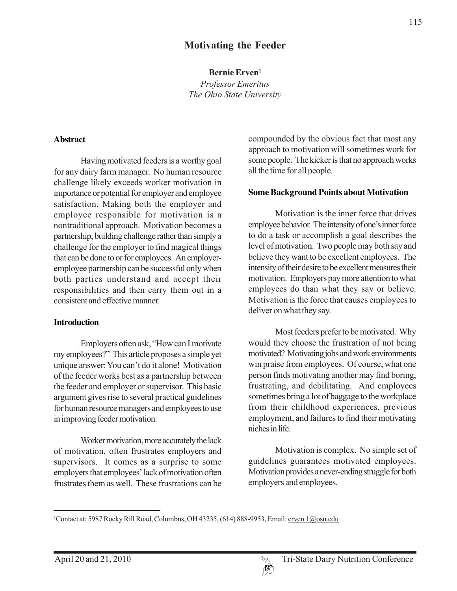## **Motivating the Feeder**

**Bernie Erven1**

*Professor Emeritus The Ohio State University*

#### **Abstract**

Having motivated feeders is a worthy goal for any dairy farm manager. No human resource challenge likely exceeds worker motivation in importance or potential for employer and employee satisfaction. Making both the employer and employee responsible for motivation is a nontraditional approach. Motivation becomes a partnership, building challenge rather than simply a challenge for the employer to find magical things that can be done to or for employees. An employeremployee partnership can be successful only when both parties understand and accept their responsibilities and then carry them out in a consistent and effective manner.

#### **Introduction**

Employers often ask, "How can I motivate my employees?" This article proposes a simple yet unique answer: You can't do it alone! Motivation of the feeder works best as a partnership between the feeder and employer or supervisor. This basic argument gives rise to several practical guidelines for human resource managers and employees to use in improving feeder motivation.

Worker motivation, more accurately the lack of motivation, often frustrates employers and supervisors. It comes as a surprise to some employers that employees' lack of motivation often frustrates them as well. These frustrations can be compounded by the obvious fact that most any approach to motivation will sometimes work for some people. The kicker is that no approach works all the time for all people.

#### **Some Background Points about Motivation**

Motivation is the inner force that drives employee behavior. The intensity of one's inner force to do a task or accomplish a goal describes the level of motivation. Two people may both say and believe they want to be excellent employees. The intensity of their desire to be excellent measures their motivation. Employers pay more attention to what employees do than what they say or believe. Motivation is the force that causes employees to deliver on what they say.

Most feeders prefer to be motivated. Why would they choose the frustration of not being motivated? Motivating jobs and work environments win praise from employees. Of course, what one person finds motivating another may find boring, frustrating, and debilitating. And employees sometimes bring a lot of baggage to the workplace from their childhood experiences, previous employment, and failures to find their motivating niches in life.

Motivation is complex. No simple set of guidelines guarantees motivated employees. Motivation provides a never-ending struggle for both employers and employees.



<sup>&</sup>lt;sup>1</sup>Contact at: 5987 Rocky Rill Road, Columbus, OH 43235, (614) 888-9953, Email: <u>erven. 1@osu.edu</u>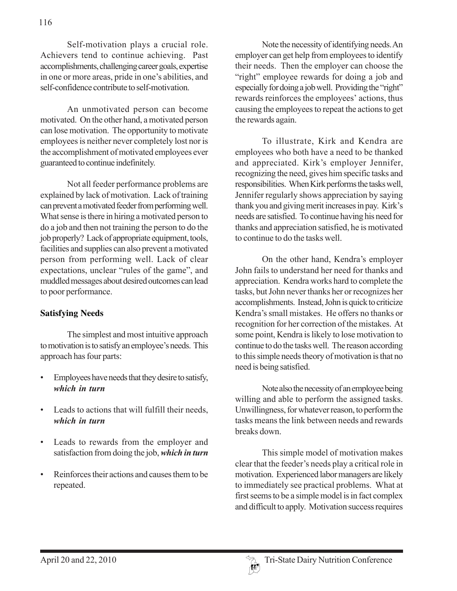Self-motivation plays a crucial role. Achievers tend to continue achieving. Past accomplishments, challenging career goals, expertise in one or more areas, pride in one's abilities, and self-confidence contribute to self-motivation.

An unmotivated person can become motivated. On the other hand, a motivated person can lose motivation. The opportunity to motivate employees is neither never completely lost nor is the accomplishment of motivated employees ever guaranteed to continue indefinitely.

Not all feeder performance problems are explained by lack of motivation. Lack of training can prevent a motivated feeder from performing well. What sense is there in hiring a motivated person to do a job and then not training the person to do the job properly? Lack of appropriate equipment, tools, facilities and supplies can also prevent a motivated person from performing well. Lack of clear expectations, unclear "rules of the game", and muddled messages about desired outcomes can lead to poor performance.

#### **Satisfying Needs**

The simplest and most intuitive approach to motivation is to satisfy an employee's needs. This approach has four parts:

- Employees have needs that they desire to satisfy, *which in turn*
- Leads to actions that will fulfill their needs, *which in turn*
- Leads to rewards from the employer and satisfaction from doing the job, *which in turn*
- Reinforces their actions and causes them to be repeated.

Note the necessity of identifying needs. An employer can get help from employees to identify their needs. Then the employer can choose the "right" employee rewards for doing a job and especially for doing a job well. Providing the "right" rewards reinforces the employees' actions, thus causing the employees to repeat the actions to get the rewards again.

To illustrate, Kirk and Kendra are employees who both have a need to be thanked and appreciated. Kirk's employer Jennifer, recognizing the need, gives him specific tasks and responsibilities. When Kirk performs the tasks well, Jennifer regularly shows appreciation by saying thank you and giving merit increases in pay. Kirk's needs are satisfied. To continue having his need for thanks and appreciation satisfied, he is motivated to continue to do the tasks well.

On the other hand, Kendra's employer John fails to understand her need for thanks and appreciation. Kendra works hard to complete the tasks, but John never thanks her or recognizes her accomplishments. Instead, John is quick to criticize Kendra's small mistakes. He offers no thanks or recognition for her correction of the mistakes. At some point, Kendra is likely to lose motivation to continue to do the tasks well. The reason according to this simple needs theory of motivation is that no need is being satisfied.

Note also the necessity of an employee being willing and able to perform the assigned tasks. Unwillingness, for whatever reason, to perform the tasks means the link between needs and rewards breaks down.

This simple model of motivation makes clear that the feeder's needs play a critical role in motivation. Experienced labor managers are likely to immediately see practical problems. What at first seems to be a simple model is in fact complex and difficult to apply. Motivation success requires

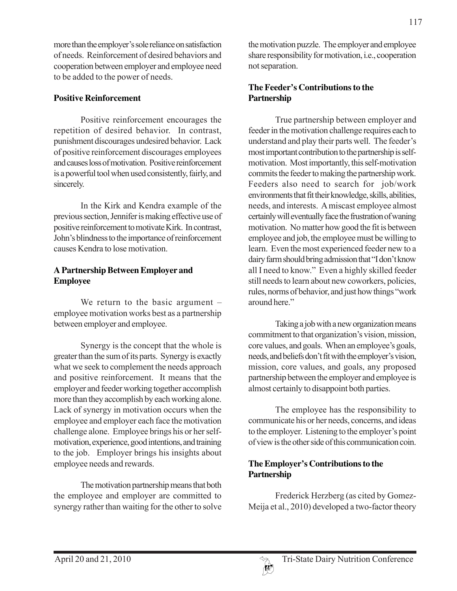more than the employer's sole reliance on satisfaction of needs. Reinforcement of desired behaviors and cooperation between employer and employee need to be added to the power of needs.

### **Positive Reinforcement**

Positive reinforcement encourages the repetition of desired behavior. In contrast, punishment discourages undesired behavior. Lack of positive reinforcement discourages employees and causes loss of motivation. Positive reinforcement is a powerful tool when used consistently, fairly, and sincerely.

In the Kirk and Kendra example of the previous section, Jennifer is making effective use of positive reinforcement to motivate Kirk. In contrast, John's blindness to the importance of reinforcement causes Kendra to lose motivation.

## **A Partnership Between Employer and Employee**

We return to the basic argument – employee motivation works best as a partnership between employer and employee.

Synergy is the concept that the whole is greater than the sum of its parts. Synergy is exactly what we seek to complement the needs approach and positive reinforcement. It means that the employer and feeder working together accomplish more than they accomplish by each working alone. Lack of synergy in motivation occurs when the employee and employer each face the motivation challenge alone. Employee brings his or her selfmotivation, experience, good intentions, and training to the job. Employer brings his insights about employee needs and rewards.

The motivation partnership means that both the employee and employer are committed to synergy rather than waiting for the other to solve

the motivation puzzle. The employer and employee share responsibility for motivation, i.e., cooperation not separation.

## **The Feeder's Contributions to the Partnership**

True partnership between employer and feeder in the motivation challenge requires each to understand and play their parts well. The feeder's most important contribution to the partnership is selfmotivation. Most importantly, this self-motivation commits the feeder to making the partnership work. Feeders also need to search for job/work environments that fit their knowledge, skills, abilities, needs, and interests. A miscast employee almost certainly will eventually face the frustration of waning motivation. No matter how good the fit is between employee and job, the employee must be willing to learn. Even the most experienced feeder new to a dairy farm should bring admission that "I don't know all I need to know." Even a highly skilled feeder still needs to learn about new coworkers, policies, rules, norms of behavior, and just how things "work around here."

Taking a job with a new organization means commitment to that organization's vision, mission, core values, and goals. When an employee's goals, needs, and beliefs don't fit with the employer's vision, mission, core values, and goals, any proposed partnership between the employer and employee is almost certainly to disappoint both parties.

The employee has the responsibility to communicate his or her needs, concerns, and ideas to the employer. Listening to the employer's point of view is the other side of this communication coin.

# **The Employer's Contributions to the Partnership**

Frederick Herzberg (as cited by Gomez-Meija et al., 2010) developed a two-factor theory